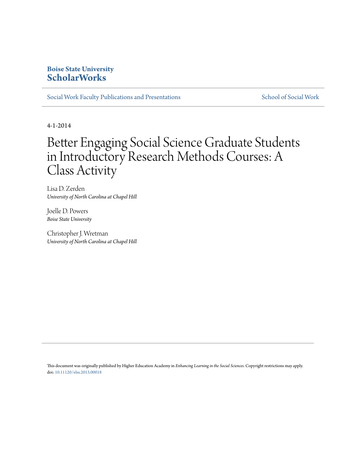### **Boise State University [ScholarWorks](https://scholarworks.boisestate.edu)**

[Social Work Faculty Publications and Presentations](https://scholarworks.boisestate.edu/socialwork_facpubs) [School of Social Work](https://scholarworks.boisestate.edu/socialwork) School of Social Work

4-1-2014

# Better Engaging Social Science Graduate Students in Introductory Research Methods Courses: A Class Activity

Lisa D. Zerden *University of North Carolina at Chapel Hill*

Joelle D. Powers *Boise State University*

Christopher J. Wretman *University of North Carolina at Chapel Hill*

This document was originally published by Higher Education Academy in *Enhancing Learning in the Social Sciences*. Copyright restrictions may apply. doi: [10.11120/elss.2013.00018](http://dx.doi.org/10.11120/elss.2013.00018)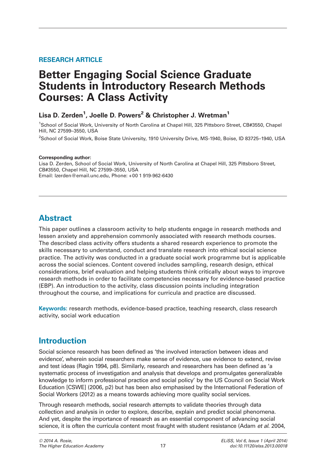### **RESEARCH ARTICLE**

# Better Engaging Social Science Graduate Students in Introductory Research Methods Courses: A Class Activity

### Lisa D. Zerden<sup>1</sup>, Joelle D. Powers<sup>2</sup> & Christopher J. Wretman<sup>1</sup>

<sup>1</sup>School of Social Work, University of North Carolina at Chapel Hill, 325 Pittsboro Street, CB#3550, Chapel Hill, NC 27599–3550, USA

<sup>2</sup>School of Social Work, Boise State University, 1910 University Drive, MS-1940, Boise, ID 83725-1940, USA

#### Corresponding author:

Lisa D. Zerden, School of Social Work, University of North Carolina at Chapel Hill, 325 Pittsboro Street, CB#3550, Chapel Hill, NC 27599–3550, USA Email: lzerden@email.unc.edu, Phone: +00 1 919-962-6430

### Abstract

This paper outlines a classroom activity to help students engage in research methods and lessen anxiety and apprehension commonly associated with research methods courses. The described class activity offers students a shared research experience to promote the skills necessary to understand, conduct and translate research into ethical social science practice. The activity was conducted in a graduate social work programme but is applicable across the social sciences. Content covered includes sampling, research design, ethical considerations, brief evaluation and helping students think critically about ways to improve research methods in order to facilitate competencies necessary for evidence-based practice (EBP). An introduction to the activity, class discussion points including integration throughout the course, and implications for curricula and practice are discussed.

Keywords: research methods, evidence-based practice, teaching research, class research activity, social work education

### Introduction

Social science research has been defined as 'the involved interaction between ideas and evidence', wherein social researchers make sense of evidence, use evidence to extend, revise and test ideas [\(Ragin 1994](#page-12-0), p8). Similarly, research and researchers has been defined as 'a systematic process of investigation and analysis that develops and promulgates generalizable knowledge to inform professional practice and social policy' by the US [Council on Social Work](#page-11-0) [Education \[CSWE\] \(2006, p2\)](#page-11-0) but has been also emphasised by the [International Federation of](#page-11-0) [Social Workers \(2012\)](#page-11-0) as a means towards achieving more quality social services.

Through research methods, social research attempts to validate theories through data collection and analysis in order to explore, describe, explain and predict social phenomena. And yet, despite the importance of research as an essential component of advancing social science, it is often the curricula content most fraught with student resistance [\(Adam](#page-11-0) et al. 2004,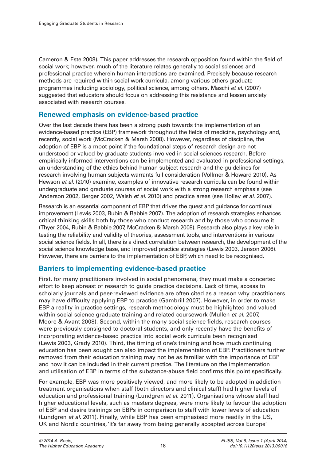[Cameron & Este 2008](#page-11-0)). This paper addresses the research opposition found within the field of social work; however, much of the literature relates generally to social sciences and professional practice wherein human interactions are examined. Precisely because research methods are required within social work curricula, among various others graduate programmes including sociology, political science, among others, Maschi et al[. \(2007\)](#page-12-0) suggested that educators should focus on addressing this resistance and lessen anxiety associated with research courses.

### Renewed emphasis on evidence-based practice

Over the last decade there has been a strong push towards the implementation of an evidence-based practice (EBP) framework throughout the fields of medicine, psychology and, recently, social work [\(McCracken & Marsh 2008\)](#page-12-0). However, regardless of discipline, the adoption of EBP is a moot point if the foundational steps of research design are not understood or valued by graduate students involved in social sciences research. Before empirically informed interventions can be implemented and evaluated in professional settings, an understanding of the ethics behind human subject research and the guidelines for research involving human subjects warrants full consideration ([Vollmer & Howard 2010\)](#page-12-0). As [Hewson](#page-11-0) et al. (2010) examine, examples of innovative research curricula can be found within undergraduate and graduate courses of social work with a strong research emphasis (see [Anderson 2002](#page-11-0), [Berger 2002](#page-11-0), [Walsh](#page-12-0) et al. 2010) and practice areas (see [Holley](#page-11-0) et al. 2007).

Research is an essential component of EBP that drives the quest and guidance for continual improvement [\(Lewis 2003](#page-11-0), [Rubin & Babbie 2007](#page-12-0)). The adoption of research strategies enhances critical thinking skills both by those who conduct research and by those who consume it [\(Thyer 2004, Rubin & Babbie 2007, McCracken & Marsh 2008\)](#page-12-0). Research also plays a key role in testing the reliability and validity of theories, assessment tools, and interventions in various social science fields. In all, there is a direct correlation between research, the development of the social science knowledge base, and improved practice strategies [\(Lewis 2003, Jenson 2006](#page-11-0)). However, there are barriers to the implementation of EBP, which need to be recognised.

### Barriers to implementing evidence-based practice

First, for many practitioners involved in social phenomena, they must make a concerted effort to keep abreast of research to guide practice decisions. Lack of time, access to scholarly journals and peer-reviewed evidence are often cited as a reason why practitioners may have difficulty applying EBP to practice [\(Gambrill 2007](#page-11-0)). However, in order to make EBP a reality in practice settings, research methodology must be highlighted and valued within social science graduate training and related coursework ([Mullen](#page-12-0) et al. 2007, [Moore & Avant 2008\)](#page-12-0). Second, within the many social science fields, research courses were previously consigned to doctoral students, and only recently have the benefits of incorporating evidence-based practice into social work curricula been recognised [\(Lewis 2003](#page-11-0), [Grady 2010](#page-11-0)). Third, the timing of one's training and how much continuing education has been sought can also impact the implementation of EBP. Practitioners further removed from their education training may not be as familiar with the importance of EBP and how it can be included in their current practice. The literature on the implementation and utilisation of EBP in terms of the substance-abuse field confirms this point specifically.

For example, EBP was more positively viewed, and more likely to be adopted in addiction treatment organisations when staff (both directors and clinical staff) had higher levels of education and professional training ([Lundgren](#page-12-0) et al. 2011). Organisations whose staff had higher educational levels, such as masters degrees, were more likely to favour the adoption of EBP and desire trainings on EBPs in comparison to staff with lower levels of education [\(Lundgren](#page-12-0) et al. 2011). Finally, while EBP has been emphasised more readily in the US, UK and Nordic countries, 'it's far away from being generally accepted across Europe'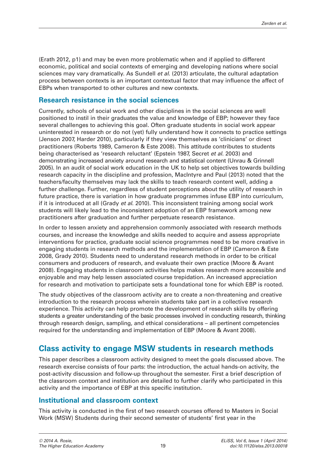[\(Erath 2012,](#page-11-0) p1) and may be even more problematic when and if applied to different economic, political and social contexts of emerging and developing nations where social sciences may vary dramatically. As [Sundell](#page-12-0) *et al.* (2013) articulate, the cultural adaptation process between contexts is an important contextual factor that may influence the affect of EBPs when transported to other cultures and new contexts.

### Research resistance in the social sciences

Currently, schools of social work and other disciplines in the social sciences are well positioned to instil in their graduates the value and knowledge of EBP; however they face several challenges to achieving this goal. Often graduate students in social work appear uninterested in research or do not (yet) fully understand how it connects to practice settings [\(Jenson 2007, Harder 2010](#page-11-0)), particularly if they view themselves as 'clinicians' or direct practitioners [\(Roberts 1989,](#page-12-0) [Cameron & Este 2008](#page-11-0)). This attitude contributes to students being characterised as 'research reluctant' ([Epstein 1987,](#page-11-0) [Secret](#page-12-0) et al. 2003) and demonstrating increased anxiety around research and statistical content [\(Unrau & Grinnell](#page-12-0) [2005](#page-12-0)). In an audit of social work education in the UK to help set objectives towards building research capacity in the discipline and profession, [MacIntyre and Paul \(2013\)](#page-12-0) noted that the teachers/faculty themselves may lack the skills to teach research content well, adding a further challenge. Further, regardless of student perceptions about the utility of research in future practice, there is variation in how graduate programmes infuse EBP into curriculum, if it is introduced at all [\(Grady](#page-11-0) *et al.* 2010). This inconsistent training among social work students will likely lead to the inconsistent adoption of an EBP framework among new practitioners after graduation and further perpetuate research resistance.

In order to lessen anxiety and apprehension commonly associated with research methods courses, and increase the knowledge and skills needed to acquire and assess appropriate interventions for practice, graduate social science programmes need to be more creative in engaging students in research methods and the implementation of EBP ([Cameron & Este](#page-11-0) [2008](#page-11-0), [Grady 2010\)](#page-11-0). Students need to understand research methods in order to be critical consumers and producers of research, and evaluate their own practice ([Moore & Avant](#page-12-0) [2008](#page-12-0)). Engaging students in classroom activities helps makes research more accessible and enjoyable and may help lessen associated course trepidation. An increased appreciation for research and motivation to participate sets a foundational tone for which EBP is rooted.

The study objectives of the classroom activity are to create a non-threatening and creative introduction to the research process wherein students take part in a collective research experience. This activity can help promote the development of research skills by offering students a greater understanding of the basic processes involved in conducting research, thinking through research design, sampling, and ethical considerations – all pertinent competencies required for the understanding and implementation of EBP [\(Moore & Avant 2008\)](#page-12-0).

# Class activity to engage MSW students in research methods

This paper describes a classroom activity designed to meet the goals discussed above. The research exercise consists of four parts: the introduction, the actual hands-on activity, the post-activity discussion and follow-up throughout the semester. First a brief description of the classroom context and institution are detailed to further clarify who participated in this activity and the importance of EBP at this specific institution.

### Institutional and classroom context

This activity is conducted in the first of two research courses offered to Masters in Social Work (MSW) Students during their second semester of students' first year in the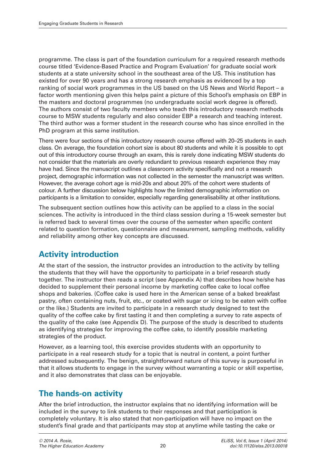programme. The class is part of the foundation curriculum for a required research methods course titled 'Evidence-Based Practice and Program Evaluation' for graduate social work students at a state university school in the southeast area of the US. This institution has existed for over 90 years and has a strong research emphasis as evidenced by a top ranking of social work programmes in the US based on the US News and World Report – a factor worth mentioning given this helps paint a picture of this School's emphasis on EBP in the masters and doctoral programmes (no undergraduate social work degree is offered). The authors consist of two faculty members who teach this introductory research methods course to MSW students regularly and also consider EBP a research and teaching interest. The third author was a former student in the research course who has since enrolled in the PhD program at this same institution.

There were four sections of this introductory research course offered with 20–25 students in each class. On average, the foundation cohort size is about 80 students and while it is possible to opt out of this introductory course through an exam, this is rarely done indicating MSW students do not consider that the materials are overly redundant to previous research experience they may have had. Since the manuscript outlines a classroom activity specifically and not a research project, demographic information was not collected in the semester the manuscript was written. However, the average cohort age is mid-20s and about 20% of the cohort were students of colour. A further discussion below highlights how the limited demographic information on participants is a limitation to consider, especially regarding generalisability at other institutions.

The subsequent section outlines how this activity can be applied to a class in the social sciences. The activity is introduced in the third class session during a 15-week semester but is referred back to several times over the course of the semester when specific content related to question formation, questionnaire and measurement, sampling methods, validity and reliability among other key concepts are discussed.

# Activity introduction

At the start of the session, the instructor provides an introduction to the activity by telling the students that they will have the opportunity to participate in a brief research study together. The instructor then reads a script (see Appendix A) that describes how he/she has decided to supplement their personal income by marketing coffee cake to local coffee shops and bakeries. (Coffee cake is used here in the American sense of a baked breakfast pastry, often containing nuts, fruit, etc., or coated with sugar or icing to be eaten with coffee or the like.) Students are invited to participate in a research study designed to test the quality of the coffee cake by first tasting it and then completing a survey to rate aspects of the quality of the cake (see Appendix D). The purpose of the study is described to students as identifying strategies for improving the coffee cake, to identify possible marketing strategies of the product.

However, as a learning tool, this exercise provides students with an opportunity to participate in a real research study for a topic that is neutral in content, a point further addressed subsequently. The benign, straightforward nature of this survey is purposeful in that it allows students to engage in the survey without warranting a topic or skill expertise, and it also demonstrates that class can be enjoyable.

# The hands-on activity

After the brief introduction, the instructor explains that no identifying information will be included in the survey to link students to their responses and that participation is completely voluntary. It is also stated that non-participation will have no impact on the student's final grade and that participants may stop at anytime while tasting the cake or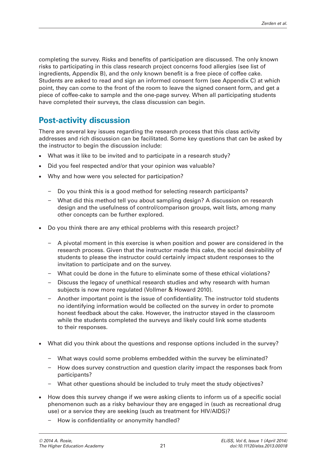completing the survey. Risks and benefits of participation are discussed. The only known risks to participating in this class research project concerns food allergies (see list of ingredients, Appendix B), and the only known benefit is a free piece of coffee cake. Students are asked to read and sign an informed consent form (see Appendix C) at which point, they can come to the front of the room to leave the signed consent form, and get a piece of coffee-cake to sample and the one-page survey. When all participating students have completed their surveys, the class discussion can begin.

# Post-activity discussion

There are several key issues regarding the research process that this class activity addresses and rich discussion can be facilitated. Some key questions that can be asked by the instructor to begin the discussion include:

- What was it like to be invited and to participate in a research study?
- Did you feel respected and/or that your opinion was valuable?
- Why and how were you selected for participation?
	- Do you think this is a good method for selecting research participants?
	- What did this method tell you about sampling design? A discussion on research design and the usefulness of control/comparison groups, wait lists, among many other concepts can be further explored.
- Do you think there are any ethical problems with this research project?
	- A pivotal moment in this exercise is when position and power are considered in the research process. Given that the instructor made this cake, the social desirability of students to please the instructor could certainly impact student responses to the invitation to participate and on the survey.
	- What could be done in the future to eliminate some of these ethical violations?
	- Discuss the legacy of unethical research studies and why research with human subjects is now more regulated ([Vollmer & Howard 2010\)](#page-12-0).
	- Another important point is the issue of confidentiality. The instructor told students no identifying information would be collected on the survey in order to promote honest feedback about the cake. However, the instructor stayed in the classroom while the students completed the surveys and likely could link some students to their responses.
- What did you think about the questions and response options included in the survey?
	- What ways could some problems embedded within the survey be eliminated?
	- How does survey construction and question clarity impact the responses back from participants?
	- What other questions should be included to truly meet the study objectives?
- How does this survey change if we were asking clients to inform us of a specific social phenomenon such as a risky behaviour they are engaged in (such as recreational drug use) or a service they are seeking (such as treatment for HIV/AIDS)?
	- How is confidentiality or anonymity handled?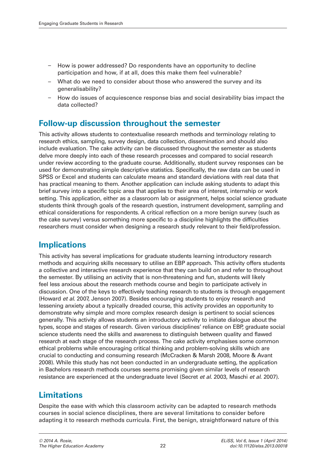- How is power addressed? Do respondents have an opportunity to decline participation and how, if at all, does this make them feel vulnerable?
- What do we need to consider about those who answered the survey and its generalisability?
- How do issues of acquiescence response bias and social desirability bias impact the data collected?

### Follow-up discussion throughout the semester

This activity allows students to contextualise research methods and terminology relating to research ethics, sampling, survey design, data collection, dissemination and should also include evaluation. The cake activity can be discussed throughout the semester as students delve more deeply into each of these research processes and compared to social research under review according to the graduate course. Additionally, student survey responses can be used for demonstrating simple descriptive statistics. Specifically, the raw data can be used in SPSS or Excel and students can calculate means and standard deviations with real data that has practical meaning to them. Another application can include asking students to adapt this brief survey into a specific topic area that applies to their area of interest, internship or work setting. This application, either as a classroom lab or assignment, helps social science graduate students think through goals of the research question, instrument development, sampling and ethical considerations for respondents. A critical reflection on a more benign survey (such as the cake survey) versus something more specific to a discipline highlights the difficulties researchers must consider when designing a research study relevant to their field/profession.

### **Implications**

This activity has several implications for graduate students learning introductory research methods and acquiring skills necessary to utilise an EBP approach. This activity offers students a collective and interactive research experience that they can build on and refer to throughout the semester. By utilising an activity that is non-threatening and fun, students will likely feel less anxious about the research methods course and begin to participate actively in discussion. One of the keys to effectively teaching research to students is through engagement [\(Howard](#page-11-0) et al. 2007, [Jenson 2007\)](#page-11-0). Besides encouraging students to enjoy research and lessening anxiety about a typically dreaded course, this activity provides an opportunity to demonstrate why simple and more complex research design is pertinent to social sciences generally. This activity allows students an introductory activity to initiate dialogue about the types, scope and stages of research. Given various disciplines' reliance on EBP, graduate social science students need the skills and awareness to distinguish between quality and flawed research at each stage of the research process. The cake activity emphasises some common ethical problems while encouraging critical thinking and problem-solving skills which are crucial to conducting and consuming research [\(McCracken & Marsh 2008, Moore & Avant](#page-12-0) [2008](#page-12-0)). While this study has not been conducted in an undergraduate setting, the application in Bachelors research methods courses seems promising given similar levels of research resistance are experienced at the undergraduate level ([Secret](#page-12-0) *et al.* 2003, [Maschi](#page-12-0) *et al.* 2007).

# **Limitations**

Despite the ease with which this classroom activity can be adapted to research methods courses in social science disciplines, there are several limitations to consider before adapting it to research methods curricula. First, the benign, straightforward nature of this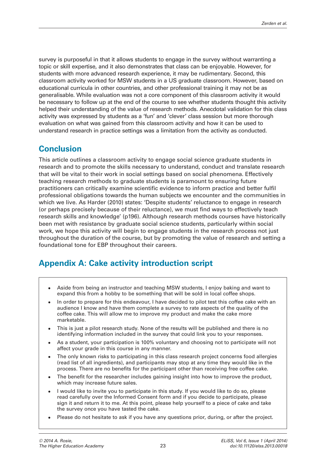survey is purposeful in that it allows students to engage in the survey without warranting a topic or skill expertise, and it also demonstrates that class can be enjoyable. However, for students with more advanced research experience, it may be rudimentary. Second, this classroom activity worked for MSW students in a US graduate classroom. However, based on educational curricula in other countries, and other professional training it may not be as generalisable. While evaluation was not a core component of this classroom activity it would be necessary to follow up at the end of the course to see whether students thought this activity helped their understanding of the value of research methods. Anecdotal validation for this class activity was expressed by students as a 'fun' and 'clever' class session but more thorough evaluation on what was gained from this classroom activity and how it can be used to understand research in practice settings was a limitation from the activity as conducted.

# **Conclusion**

This article outlines a classroom activity to engage social science graduate students in research and to promote the skills necessary to understand, conduct and translate research that will be vital to their work in social settings based on social phenomena. Effectively teaching research methods to graduate students is paramount to ensuring future practitioners can critically examine scientific evidence to inform practice and better fulfil professional obligations towards the human subjects we encounter and the communities in which we live. As [Harder \(2010\)](#page-11-0) states: 'Despite students' reluctance to engage in research (or perhaps precisely because of their reluctance), we must find ways to effectively teach research skills and knowledge' (p196). Although research methods courses have historically been met with resistance by graduate social science students, particularly within social work, we hope this activity will begin to engage students in the research process not just throughout the duration of the course, but by promoting the value of research and setting a foundational tone for EBP throughout their careers.

# Appendix A: Cake activity introduction script

- Aside from being an instructor and teaching MSW students, I enjoy baking and want to expand this from a hobby to be something that will be sold in local coffee shops.
- In order to prepare for this endeavour, I have decided to pilot test this coffee cake with an audience I know and have them complete a survey to rate aspects of the quality of the coffee cake. This will allow me to improve my product and make the cake more marketable.
- This is just a pilot research study. None of the results will be published and there is no identifying information included in the survey that could link you to your responses.
- As a student, your participation is 100% voluntary and choosing not to participate will not affect your grade in this course in any manner.
- The only known risks to participating in this class research project concerns food allergies (read list of all ingredients), and participants may stop at any time they would like in the process. There are no benefits for the participant other than receiving free coffee cake.
- The benefit for the researcher includes gaining insight into how to improve the product, which may increase future sales.
- I would like to invite you to participate in this study. If you would like to do so, please read carefully over the Informed Consent form and if you decide to participate, please sign it and return it to me. At this point, please help yourself to a piece of cake and take the survey once you have tasted the cake.
- Please do not hesitate to ask if you have any questions prior, during, or after the project.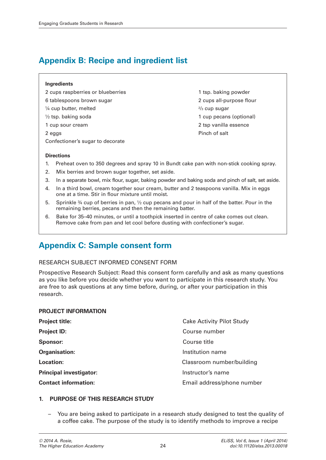# Appendix B: Recipe and ingredient list

#### **Ingredients**

2 cups raspberries or blueberries 1 tsp. baking powder 6 tablespoons brown sugar 2 cups all-purpose flour  $\frac{1}{4}$  cup butter, melted  $\frac{2}{3}$  cup sugar  $\frac{1}{2}$  tsp. baking soda 1 cup pecans (optional) 1 cup sour cream 2 tsp vanilla essence 2 eggs Pinch of salt Confectioner's sugar to decorate

#### **Directions**

- 1. Preheat oven to 350 degrees and spray 10 in Bundt cake pan with non-stick cooking spray.
- 2. Mix berries and brown sugar together, set aside.
- 3. In a separate bowl, mix flour, sugar, baking powder and baking soda and pinch of salt, set aside.
- 4. In a third bowl, cream together sour cream, butter and 2 teaspoons vanilla. Mix in eggs one at a time. Stir in flour mixture until moist.
- 5. Sprinkle  $\frac{3}{4}$  cup of berries in pan,  $\frac{1}{2}$  cup pecans and pour in half of the batter. Pour in the remaining berries, pecans and then the remaining batter.
- 6. Bake for 35–40 minutes, or until a toothpick inserted in centre of cake comes out clean. Remove cake from pan and let cool before dusting with confectioner's sugar.

# Appendix C: Sample consent form

#### RESEARCH SUBJECT INFORMED CONSENT FORM

Prospective Research Subject: Read this consent form carefully and ask as many questions as you like before you decide whether you want to participate in this research study. You are free to ask questions at any time before, during, or after your participation in this research.

#### PROJECT INFORMATION

| <b>Project title:</b>          | <b>Cake Activity Pilot Study</b> |
|--------------------------------|----------------------------------|
| <b>Project ID:</b>             | Course number                    |
| <b>Sponsor:</b>                | Course title                     |
| <b>Organisation:</b>           | Institution name                 |
| Location:                      | Classroom number/building        |
| <b>Principal investigator:</b> | Instructor's name                |
| <b>Contact information:</b>    | Email address/phone number       |

#### 1. PURPOSE OF THIS RESEARCH STUDY

– You are being asked to participate in a research study designed to test the quality of a coffee cake. The purpose of the study is to identify methods to improve a recipe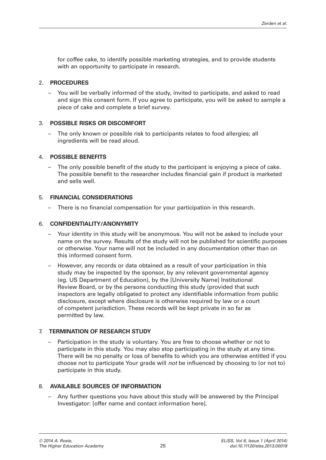for coffee cake, to identify possible marketing strategies, and to provide students with an opportunity to participate in research.

#### 2. PROCEDURES

– You will be verbally informed of the study, invited to participate, and asked to read and sign this consent form. If you agree to participate, you will be asked to sample a piece of cake and complete a brief survey.

#### 3. POSSIBLE RISKS OR DISCOMFORT

– The only known or possible risk to participants relates to food allergies; all ingredients will be read aloud.

#### 4. POSSIBLE BENEFITS

The only possible benefit of the study to the participant is enjoying a piece of cake. The possible benefit to the researcher includes financial gain if product is marketed and sells well.

#### 5. FINANCIAL CONSIDERATIONS

– There is no financial compensation for your participation in this research.

#### 6. CONFIDENTIALITY/ANONYMITY

- Your identity in this study will be anonymous. You will not be asked to include your name on the survey. Results of the study will not be published for scientific purposes or otherwise. Your name will not be included in any documentation other than on this informed consent form.
- However, any records or data obtained as a result of your participation in this study may be inspected by the sponsor, by any relevant governmental agency (eg. US Department of Education), by the [University Name] Institutional Review Board, or by the persons conducting this study (provided that such inspectors are legally obligated to protect any identifiable information from public disclosure, except where disclosure is otherwise required by law or a court of competent jurisdiction. These records will be kept private in so far as permitted by law.

### 7. TERMINATION OF RESEARCH STUDY

– Participation in the study is voluntary. You are free to choose whether or not to participate in this study. You may also stop participating in the study at any time. There will be no penalty or loss of benefits to which you are otherwise entitled if you choose not to participate Your grade will not be influenced by choosing to (or not to) participate in this study.

### 8. AVAILABLE SOURCES OF INFORMATION

– Any further questions you have about this study will be answered by the Principal Investigator: [offer name and contact information here].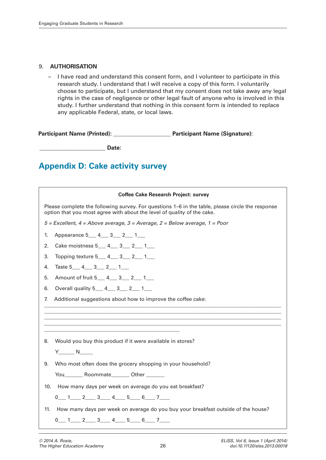#### 9. AUTHORISATION

– I have read and understand this consent form, and I volunteer to participate in this research study. I understand that I will receive a copy of this form. I voluntarily choose to participate, but I understand that my consent does not take away any legal rights in the case of negligence or other legal fault of anyone who is involved in this study. I further understand that nothing in this consent form is intended to replace any applicable Federal, state, or local laws.

Participant Name (Printed): \_\_\_\_\_\_\_\_\_\_\_\_\_\_\_\_\_\_\_\_ Participant Name (Signature):

Date:

# Appendix D: Cake activity survey

| <b>Coffee Cake Research Project: survey</b>                                                                                                                                 |  |
|-----------------------------------------------------------------------------------------------------------------------------------------------------------------------------|--|
| Please complete the following survey. For questions 1–6 in the table, please circle the response<br>option that you most agree with about the level of quality of the cake. |  |
| $5$ = Excellent, 4 = Above average, 3 = Average, 2 = Below average, 1 = Poor                                                                                                |  |
| Appearance 5___ 4___ 3___ 2__ 1___<br>1.                                                                                                                                    |  |
| Cake moistness 5 4 3 2 1<br>2.                                                                                                                                              |  |
| Topping texture 5___ 4___ 3___ 2___ 1___<br>3.                                                                                                                              |  |
| Taste $5$ $4$ $3$ $2$ $1$ $1$<br>4.                                                                                                                                         |  |
| 5.<br>Amount of fruit 5 4 3 2 1                                                                                                                                             |  |
| Overall quality 5 4 3 2 1<br>6.                                                                                                                                             |  |
| Additional suggestions about how to improve the coffee cake:<br>7.                                                                                                          |  |
|                                                                                                                                                                             |  |
|                                                                                                                                                                             |  |
|                                                                                                                                                                             |  |
| 8.<br>Would you buy this product if it were available in stores?                                                                                                            |  |
| $Y_$ N                                                                                                                                                                      |  |
| 9.<br>Who most often does the grocery shopping in your household?                                                                                                           |  |
| You___________ Roommate__________ Other ________                                                                                                                            |  |
| 10.<br>How many days per week on average do you eat breakfast?                                                                                                              |  |
| $0 \t 1 \t 2 \t 3 \t 4 \t 5 \t 6 \t 7 \t 1$                                                                                                                                 |  |
| How many days per week on average do you buy your breakfast outside of the house?<br>11.                                                                                    |  |
| $0 \t 1 \t 2 \t 3 \t 4 \t 5 \t 6 \t 7 \t 1$                                                                                                                                 |  |
|                                                                                                                                                                             |  |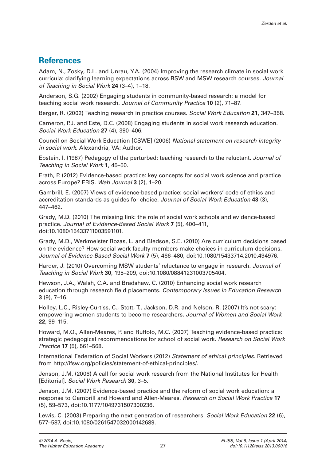### <span id="page-11-0"></span>**References**

Adam, N., Zosky, D.L. and Unrau, Y.A. (2004) Improving the research climate in social work curricula: clarifying learning expectations across BSW and MSW research courses. Journal of Teaching in Social Work 24 (3–4), 1–18.

Anderson, S.G. (2002) Engaging students in community-based research: a model for teaching social work research. Journal of Community Practice 10 (2), 71–87.

Berger, R. (2002) Teaching research in practice courses. Social Work Education 21, 347–358.

Cameron, P.J. and Este, D.C. (2008) Engaging students in social work research education. Social Work Education 27 (4), 390-406.

Council on Social Work Education [CSWE] (2006) National statement on research integrity in social work. Alexandria, VA: Author.

Epstein, I. (1987) Pedagogy of the perturbed: teaching research to the reluctant. Journal of Teaching in Social Work 1, 45–50.

Erath, P. (2012) Evidence-based practice: key concepts for social work science and practice across Europe? ERIS. Web Journal 3 (2), 1–20.

Gambrill, E. (2007) Views of evidence-based practice: social workers' code of ethics and accreditation standards as guides for choice. Journal of Social Work Education 43 (3), 447–462.

Grady, M.D. (2010) The missing link: the role of social work schools and evidence-based practice. Journal of Evidence-Based Social Work 7 (5), 400–411, doi[:10.1080/15433711003591101.](http://dx.doi.org/10.1080/15433711003591101)

Grady, M.D., Werkmeister Rozas, L. and Bledsoe, S.E. (2010) Are curriculum decisions based on the evidence? How social work faculty members make choices in curriculum decisions. Journal of Evidence-Based Social Work 7 (5), 466–480, doi:[10.1080/15433714.2010.494976](http://dx.doi.org/10.1080/15433714.2010.494976).

Harder, J. (2010) Overcoming MSW students' reluctance to engage in research. Journal of Teaching in Social Work 30, 195–209, doi:[10.1080/08841231003705404](http://dx.doi.org/10.1080/08841231003705404).

Hewson, J.A., Walsh, C.A. and Bradshaw, C. (2010) Enhancing social work research education through research field placements. Contemporary Issues in Education Research 3 (9), 7–16.

Holley, L.C., Risley-Curtiss, C., Stott, T., Jackson, D.R. and Nelson, R. (2007) It's not scary: empowering women students to become researchers. Journal of Women and Social Work 22, 99–115.

Howard, M.O., Allen-Meares, P. and Ruffolo, M.C. (2007) Teaching evidence-based practice: strategic pedagogical recommendations for school of social work. Research on Social Work Practice 17 (5), 561–568.

International Federation of Social Workers (2012) Statement of ethical principles. Retrieved from [http://ifsw.org/policies/statement-of-ethical-principles/.](http://ifsw.org/policies/statement-of-ethical-principles/)

Jenson, J.M. (2006) A call for social work research from the National Institutes for Health [Editorial]. Social Work Research 30, 3-5.

Jenson, J.M. (2007) Evidence-based practice and the reform of social work education: a response to Gambrill and Howard and Allen-Meares. Research on Social Work Practice 17 (5), 59–573, doi:[10.1177/1049731507300236.](http://dx.doi.org/10.1177/1049731507300236)

Lewis, C. (2003) Preparing the next generation of researchers. Social Work Education 22 (6), 577–587, doi[:10.1080/0261547032000142689](http://dx.doi.org/10.1080/0261547032000142689).